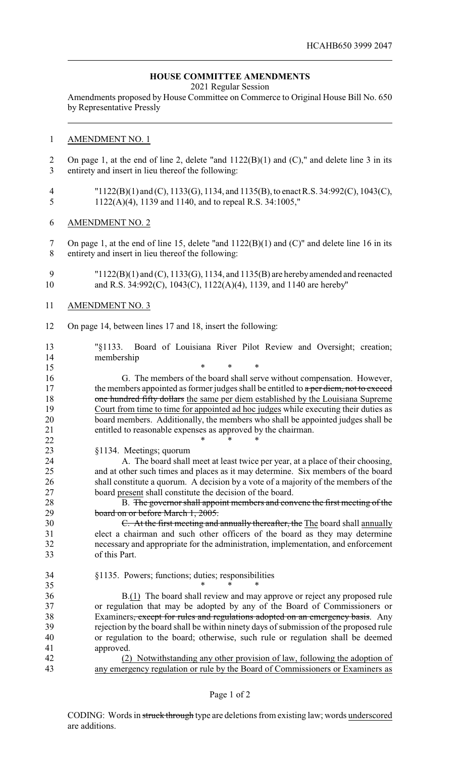## **HOUSE COMMITTEE AMENDMENTS**

2021 Regular Session

Amendments proposed by House Committee on Commerce to Original House Bill No. 650 by Representative Pressly

## AMENDMENT NO. 1

- On page 1, at the end of line 2, delete "and 1122(B)(1) and (C)," and delete line 3 in its entirety and insert in lieu thereof the following:
- "1122(B)(1) and (C), 1133(G), 1134, and 1135(B), to enact R.S. 34:992(C), 1043(C), 1122(A)(4), 1139 and 1140, and to repeal R.S. 34:1005,"
- AMENDMENT NO. 2

 On page 1, at the end of line 15, delete "and 1122(B)(1) and (C)" and delete line 16 in its entirety and insert in lieu thereof the following:

- "1122(B)(1) and (C), 1133(G), 1134, and 1135(B) are herebyamended and reenacted and R.S. 34:992(C), 1043(C), 1122(A)(4), 1139, and 1140 are hereby"
- AMENDMENT NO. 3
- On page 14, between lines 17 and 18, insert the following:
- "§1133. Board of Louisiana River Pilot Review and Oversight; creation; membership

 \* \* \* G. The members of the board shall serve without compensation. However, 17 the members appointed as former judges shall be entitled to a per diem, not to exceed **one hundred fifty dollars** the same per diem established by the Louisiana Supreme Court from time to time for appointed ad hoc judges while executing their duties as board members. Additionally, the members who shall be appointed judges shall be entitled to reasonable expenses as approved by the chairman. **\*** \* \* \*

§1134. Meetings; quorum

 A. The board shall meet at least twice per year, at a place of their choosing, and at other such times and places as it may determine. Six members of the board shall constitute a quorum. A decision by a vote of a majority of the members of the board present shall constitute the decision of the board.

28 B. The governor shall appoint members and convene the first meeting of the 29 board on or before March 1, 2005.

- C. At the first meeting and annually thereafter, the The board shall annually elect a chairman and such other officers of the board as they may determine necessary and appropriate for the administration, implementation, and enforcement of this Part.
- §1135. Powers; functions; duties; responsibilities

35 \* \* \* \*

 B.(1) The board shall review and may approve or reject any proposed rule or regulation that may be adopted by any of the Board of Commissioners or 38 Examiners<del>, except for rules and regulations adopted on an emergency basis</del>. Any rejection by the board shall be within ninety days of submission of the proposed rule or regulation to the board; otherwise, such rule or regulation shall be deemed approved.

 (2) Notwithstanding any other provision of law, following the adoption of any emergency regulation or rule by the Board of Commissioners or Examiners as